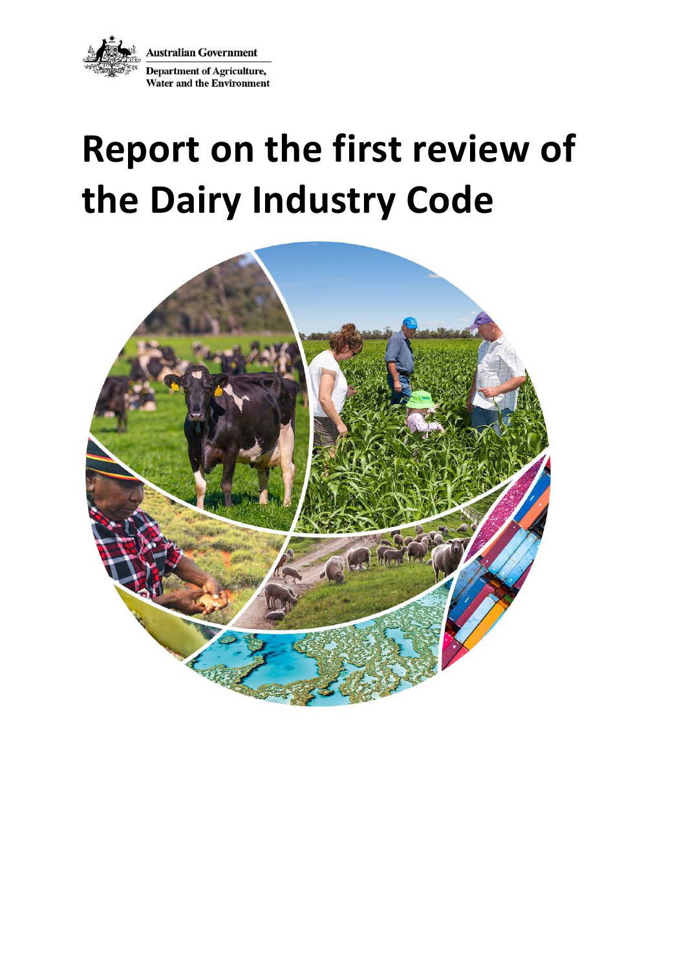**Australian Government** Department of Agriculture, **Water and the Environment** 

# **Report on the first review of the Dairy Industry Code**

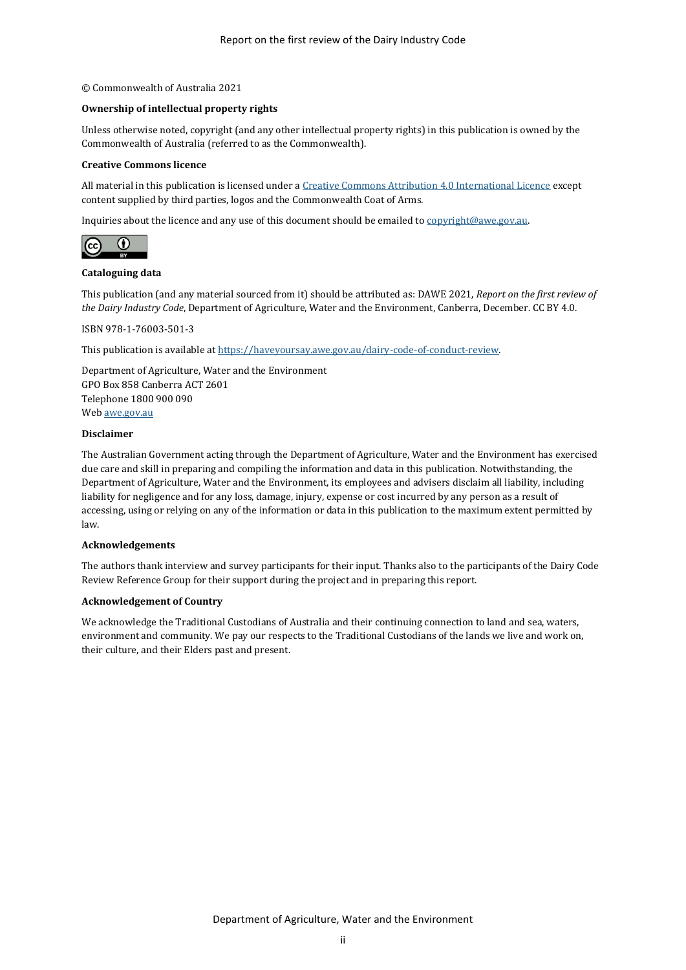#### © Commonwealth of Australia 2021

#### **Ownership of intellectual property rights**

Unless otherwise noted, copyright (and any other intellectual property rights) in this publication is owned by the Commonwealth of Australia (referred to as the Commonwealth).

#### **Creative Commons licence**

All material in this publication is licensed under [a Creative Commons Attribution 4.0 International Licence](https://creativecommons.org/licenses/by/4.0/legalcode) except content supplied by third parties, logos and the Commonwealth Coat of Arms.

Inquiries about the licence and any use of this document should be emailed t[o copyright@awe.gov.au.](mailto:copyright@awe.gov.au)



#### **Cataloguing data**

This publication (and any material sourced from it) should be attributed as: DAWE 2021, *Report on the first review of the Dairy Industry Code*, Department of Agriculture, Water and the Environment, Canberra, December. CC BY 4.0.

ISBN 978-1-76003-501-3

This publication is available a[t https://haveyoursay.awe.gov.au/dairy-code-of-conduct-review.](https://haveyoursay.awe.gov.au/dairy-code-of-conduct-review)

Department of Agriculture, Water and the Environment GPO Box 858 Canberra ACT 2601 Telephone 1800 900 090 We[b awe.gov.au](https://www.awe.gov.au/)

#### **Disclaimer**

The Australian Government acting through the Department of Agriculture, Water and the Environment has exercised due care and skill in preparing and compiling the information and data in this publication. Notwithstanding, the Department of Agriculture, Water and the Environment, its employees and advisers disclaim all liability, including liability for negligence and for any loss, damage, injury, expense or cost incurred by any person as a result of accessing, using or relying on any of the information or data in this publication to the maximum extent permitted by law.

#### **Acknowledgements**

The authors thank interview and survey participants for their input. Thanks also to the participants of the Dairy Code Review Reference Group for their support during the project and in preparing this report.

#### **Acknowledgement of Country**

We acknowledge the Traditional Custodians of Australia and their continuing connection to land and sea, waters, environment and community. We pay our respects to the Traditional Custodians of the lands we live and work on, their culture, and their Elders past and present.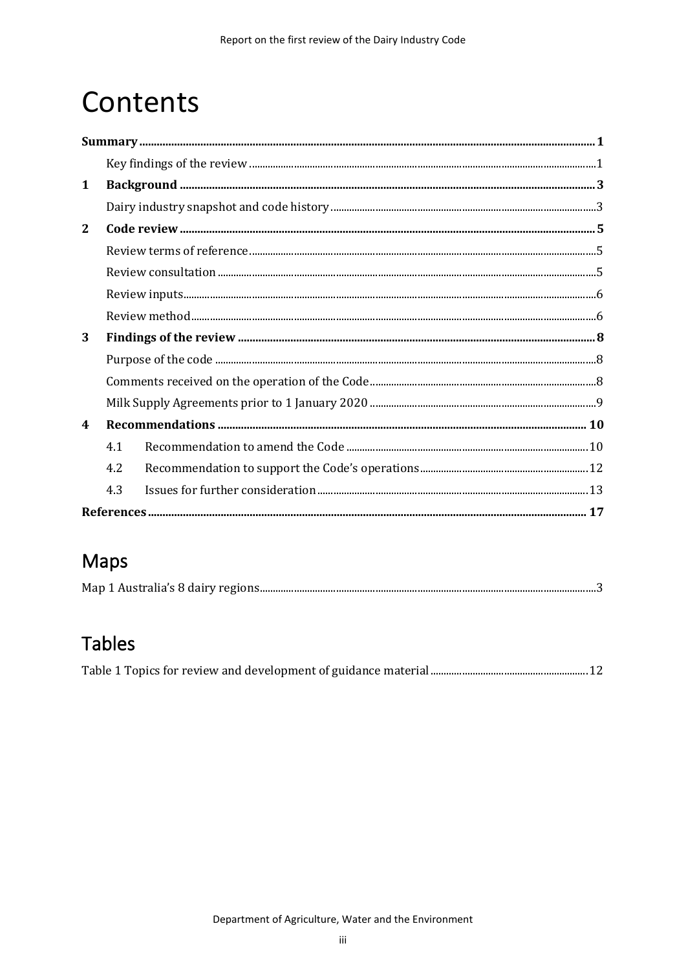## Contents

| $\mathbf{1}$            |     |  |  |
|-------------------------|-----|--|--|
|                         |     |  |  |
| $\mathbf{2}$            |     |  |  |
|                         |     |  |  |
|                         |     |  |  |
|                         |     |  |  |
|                         |     |  |  |
| 3                       |     |  |  |
|                         |     |  |  |
|                         |     |  |  |
|                         |     |  |  |
| $\overline{\mathbf{4}}$ |     |  |  |
|                         | 4.1 |  |  |
|                         | 4.2 |  |  |
|                         | 4.3 |  |  |
|                         |     |  |  |

### Maps

### **Tables**

|--|--|--|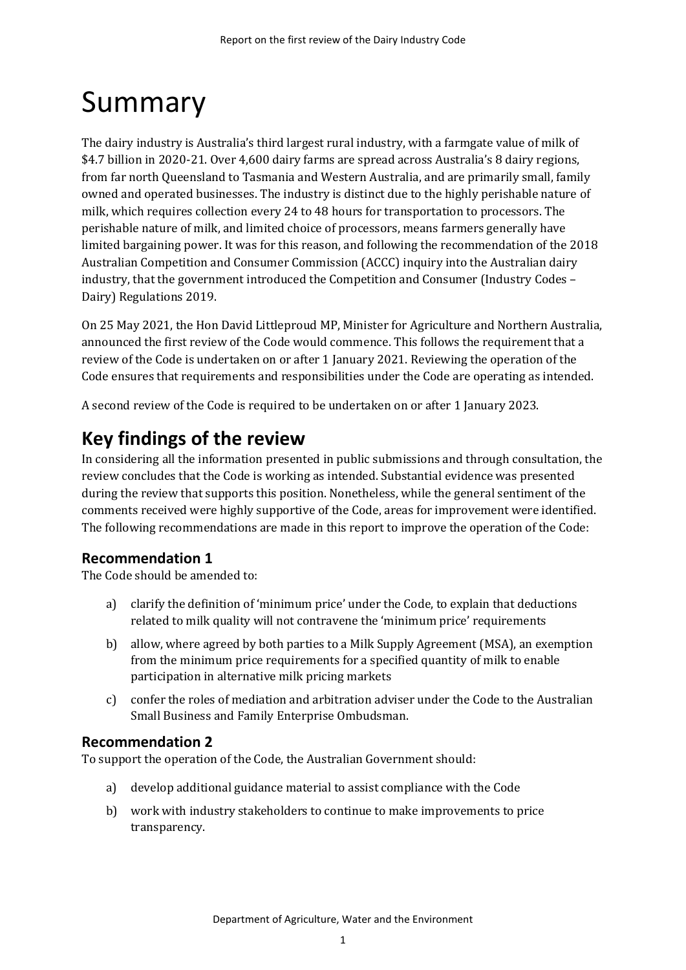## <span id="page-3-0"></span>Summary

The dairy industry is Australia's third largest rural industry, with a farmgate value of milk of \$4.7 billion in 2020-21. Over 4,600 dairy farms are spread across Australia's 8 dairy regions, from far north Queensland to Tasmania and Western Australia, and are primarily small, family owned and operated businesses. The industry is distinct due to the highly perishable nature of milk, which requires collection every 24 to 48 hours for transportation to processors. The perishable nature of milk, and limited choice of processors, means farmers generally have limited bargaining power. It was for this reason, and following the recommendation of the 2018 Australian Competition and Consumer Commission (ACCC) inquiry into the Australian dairy industry, that the government introduced the Competition and Consumer (Industry Codes – Dairy) Regulations 2019.

On 25 May 2021, the Hon David Littleproud MP, Minister for Agriculture and Northern Australia, announced the first review of the Code would commence. This follows the requirement that a review of the Code is undertaken on or after 1 January 2021. Reviewing the operation of the Code ensures that requirements and responsibilities under the Code are operating as intended.

A second review of the Code is required to be undertaken on or after 1 January 2023.

### <span id="page-3-1"></span>**Key findings of the review**

In considering all the information presented in public submissions and through consultation, the review concludes that the Code is working as intended. Substantial evidence was presented during the review that supports this position. Nonetheless, while the general sentiment of the comments received were highly supportive of the Code, areas for improvement were identified. The following recommendations are made in this report to improve the operation of the Code:

### **Recommendation 1**

The Code should be amended to:

- a) clarify the definition of 'minimum price' under the Code, to explain that deductions related to milk quality will not contravene the 'minimum price' requirements
- b) allow, where agreed by both parties to a Milk Supply Agreement (MSA), an exemption from the minimum price requirements for a specified quantity of milk to enable participation in alternative milk pricing markets
- c) confer the roles of mediation and arbitration adviser under the Code to the Australian Small Business and Family Enterprise Ombudsman.

### **Recommendation 2**

To support the operation of the Code, the Australian Government should:

- a) develop additional guidance material to assist compliance with the Code
- b) work with industry stakeholders to continue to make improvements to price transparency.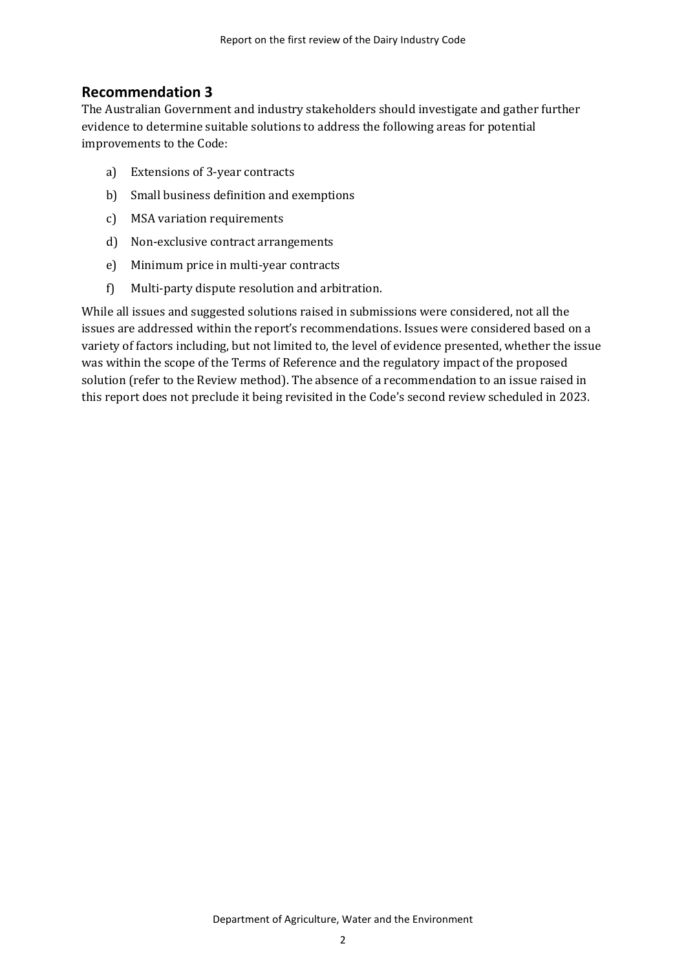### **Recommendation 3**

The Australian Government and industry stakeholders should investigate and gather further evidence to determine suitable solutions to address the following areas for potential improvements to the Code:

- a) Extensions of 3-year contracts
- b) Small business definition and exemptions
- c) MSA variation requirements
- d) Non-exclusive contract arrangements
- e) Minimum price in multi-year contracts
- f) Multi-party dispute resolution and arbitration.

While all issues and suggested solutions raised in submissions were considered, not all the issues are addressed within the report's recommendations. Issues were considered based on a variety of factors including, but not limited to, the level of evidence presented, whether the issue was within the scope of the Terms of Reference and the regulatory impact of the proposed solution (refer to the Review method). The absence of a recommendation to an issue raised in this report does not preclude it being revisited in the Code's second review scheduled in 2023.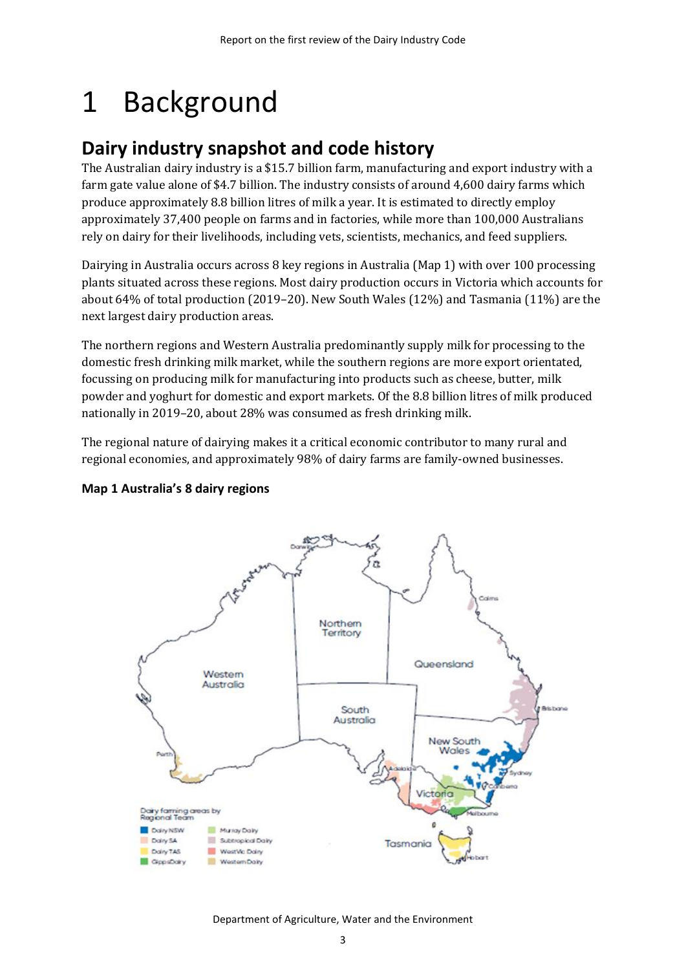## <span id="page-5-0"></span>1 Background

### <span id="page-5-1"></span>**Dairy industry snapshot and code history**

The Australian dairy industry is a \$15.7 billion farm, manufacturing and export industry with a farm gate value alone of \$4.7 billion. The industry consists of around 4,600 dairy farms which produce approximately 8.8 billion litres of milk a year. It is estimated to directly employ approximately 37,400 people on farms and in factories, while more than 100,000 Australians rely on dairy for their livelihoods, including vets, scientists, mechanics, and feed suppliers.

Dairying in Australia occurs across 8 key regions in Australia [\(Map 1\)](#page-5-2) with over 100 processing plants situated across these regions. Most dairy production occurs in Victoria which accounts for about 64% of total production (2019–20). New South Wales (12%) and Tasmania (11%) are the next largest dairy production areas.

The northern regions and Western Australia predominantly supply milk for processing to the domestic fresh drinking milk market, while the southern regions are more export orientated, focussing on producing milk for manufacturing into products such as cheese, butter, milk powder and yoghurt for domestic and export markets. Of the 8.8 billion litres of milk produced nationally in 2019–20, about 28% was consumed as fresh drinking milk.

The regional nature of dairying makes it a critical economic contributor to many rural and regional economies, and approximately 98% of dairy farms are family-owned businesses.



#### <span id="page-5-2"></span>**Map 1 Australia's 8 dairy regions**

Department of Agriculture, Water and the Environment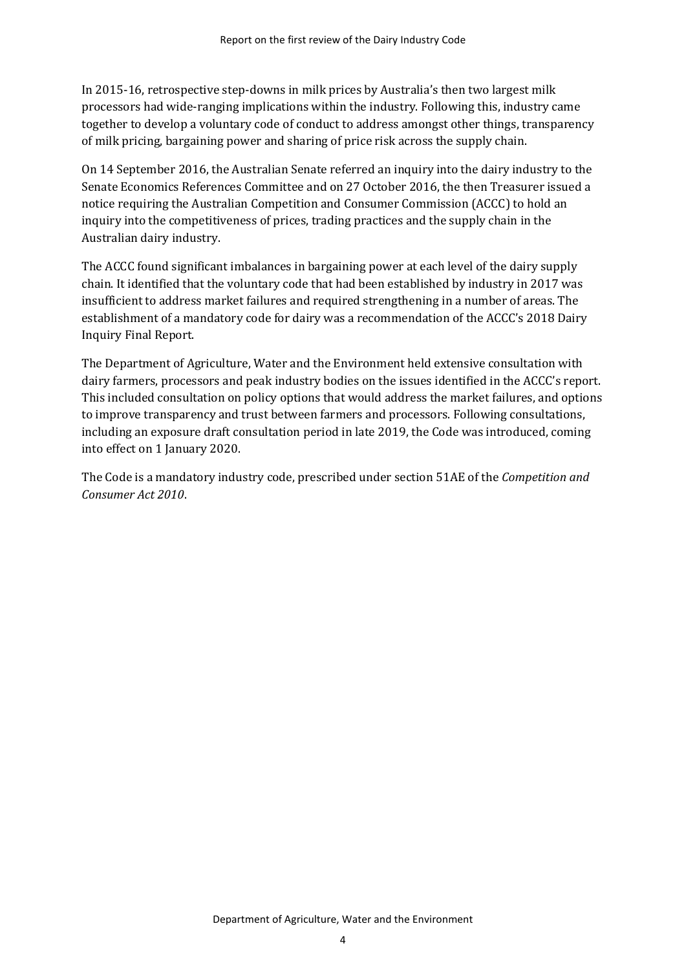In 2015-16, retrospective step-downs in milk prices by Australia's then two largest milk processors had wide-ranging implications within the industry. Following this, industry came together to develop a voluntary code of conduct to address amongst other things, transparency of milk pricing, bargaining power and sharing of price risk across the supply chain.

On 14 September 2016, the Australian Senate referred an inquiry into the dairy industry to the Senate Economics References Committee and on 27 October 2016, the then Treasurer issued a notice requiring the Australian Competition and Consumer Commission (ACCC) to hold an inquiry into the competitiveness of prices, trading practices and the supply chain in the Australian dairy industry.

The ACCC found significant imbalances in bargaining power at each level of the dairy supply chain. It identified that the voluntary code that had been established by industry in 2017 was insufficient to address market failures and required strengthening in a number of areas. The establishment of a mandatory code for dairy was a recommendation of the ACCC's 2018 Dairy Inquiry Final Report.

The Department of Agriculture, Water and the Environment held extensive consultation with dairy farmers, processors and peak industry bodies on the issues identified in the ACCC's report. This included consultation on policy options that would address the market failures, and options to improve transparency and trust between farmers and processors. Following consultations, including an exposure draft consultation period in late 2019, the Code was introduced, coming into effect on 1 January 2020.

The Code is a mandatory industry code, prescribed under section 51AE of the *Competition and Consumer Act 2010*.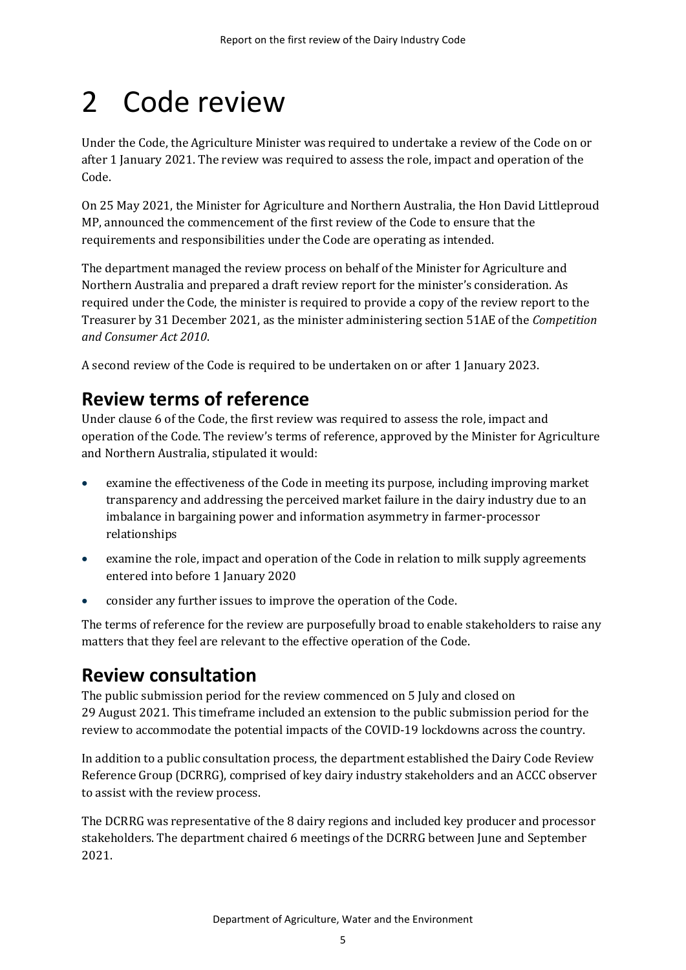## <span id="page-7-0"></span>2 Code review

Under the Code, the Agriculture Minister was required to undertake a review of the Code on or after 1 January 2021. The review was required to assess the role, impact and operation of the Code.

On 25 May 2021, the Minister for Agriculture and Northern Australia, the Hon David Littleproud MP, announced the commencement of the first review of the Code to ensure that the requirements and responsibilities under the Code are operating as intended.

The department managed the review process on behalf of the Minister for Agriculture and Northern Australia and prepared a draft review report for the minister's consideration. As required under the Code, the minister is required to provide a copy of the review report to the Treasurer by 31 December 2021, as the minister administering section 51AE of the *Competition and Consumer Act 2010*.

A second review of the Code is required to be undertaken on or after 1 January 2023.

### <span id="page-7-1"></span>**Review terms of reference**

Under clause 6 of the Code, the first review was required to assess the role, impact and operation of the Code. The review's terms of reference, approved by the Minister for Agriculture and Northern Australia, stipulated it would:

- examine the effectiveness of the Code in meeting its purpose, including improving market transparency and addressing the perceived market failure in the dairy industry due to an imbalance in bargaining power and information asymmetry in farmer-processor relationships
- examine the role, impact and operation of the Code in relation to milk supply agreements entered into before 1 January 2020
- consider any further issues to improve the operation of the Code.

The terms of reference for the review are purposefully broad to enable stakeholders to raise any matters that they feel are relevant to the effective operation of the Code.

### <span id="page-7-2"></span>**Review consultation**

The public submission period for the review commenced on 5 July and closed on 29 August 2021. This timeframe included an extension to the public submission period for the review to accommodate the potential impacts of the COVID-19 lockdowns across the country.

In addition to a public consultation process, the department established the Dairy Code Review Reference Group (DCRRG), comprised of key dairy industry stakeholders and an ACCC observer to assist with the review process.

The DCRRG was representative of the 8 dairy regions and included key producer and processor stakeholders. The department chaired 6 meetings of the DCRRG between June and September 2021.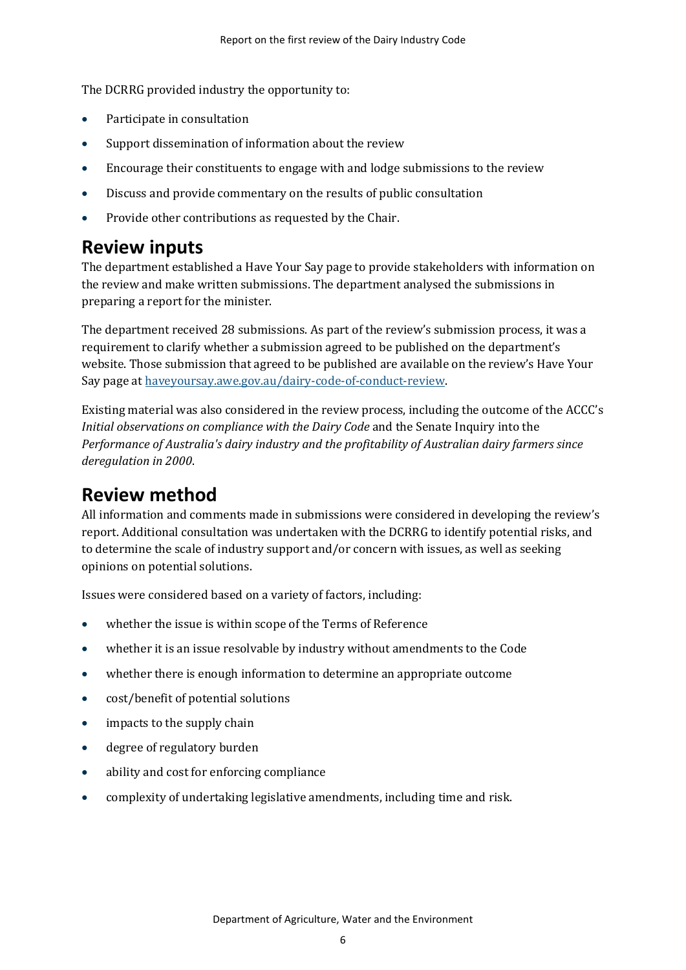The DCRRG provided industry the opportunity to:

- Participate in consultation
- Support dissemination of information about the review
- Encourage their constituents to engage with and lodge submissions to the review
- Discuss and provide commentary on the results of public consultation
- Provide other contributions as requested by the Chair.

### <span id="page-8-0"></span>**Review inputs**

The department established a Have Your Say page to provide stakeholders with information on the review and make written submissions. The department analysed the submissions in preparing a report for the minister.

The department received 28 submissions. As part of the review's submission process, it was a requirement to clarify whether a submission agreed to be published on the department's website. Those submission that agreed to be published are available on the review's Have Your Say page at [haveyoursay.awe.gov.au/dairy-code-of-conduct-review.](https://haveyoursay.awe.gov.au/dairy-code-of-conduct-review)

Existing material was also considered in the review process, including the outcome of the ACCC's *Initial observations on compliance with the Dairy Code* and the Senate Inquiry into the *Performance of Australia's dairy industry and the profitability of Australian dairy farmers since deregulation in 2000*.

### <span id="page-8-1"></span>**Review method**

All information and comments made in submissions were considered in developing the review's report. Additional consultation was undertaken with the DCRRG to identify potential risks, and to determine the scale of industry support and/or concern with issues, as well as seeking opinions on potential solutions.

Issues were considered based on a variety of factors, including:

- whether the issue is within scope of the Terms of Reference
- whether it is an issue resolvable by industry without amendments to the Code
- whether there is enough information to determine an appropriate outcome
- cost/benefit of potential solutions
- impacts to the supply chain
- degree of regulatory burden
- ability and cost for enforcing compliance
- complexity of undertaking legislative amendments, including time and risk.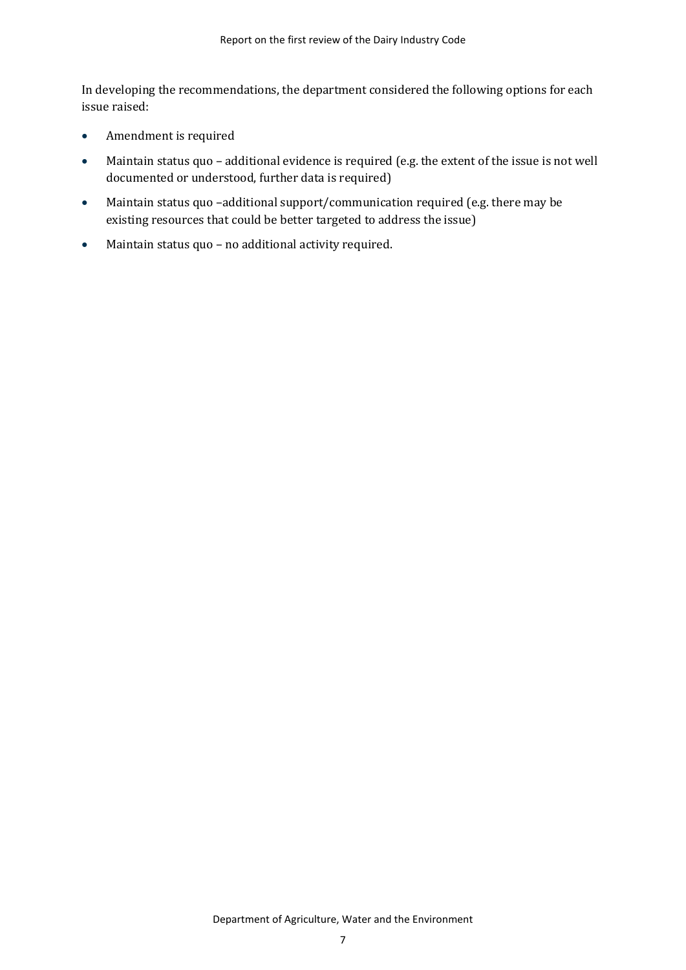In developing the recommendations, the department considered the following options for each issue raised:

- Amendment is required
- Maintain status quo additional evidence is required (e.g. the extent of the issue is not well documented or understood, further data is required)
- Maintain status quo -additional support/communication required (e.g. there may be existing resources that could be better targeted to address the issue)
- Maintain status quo no additional activity required.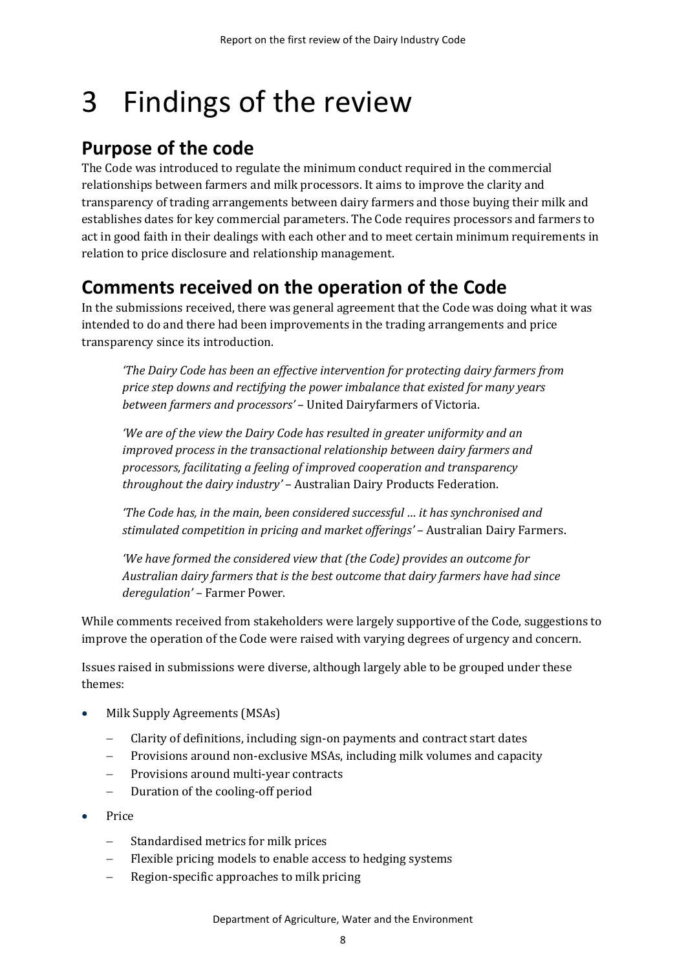## <span id="page-10-0"></span>3 Findings of the review

### <span id="page-10-1"></span>**Purpose of the code**

The Code was introduced to regulate the minimum conduct required in the commercial relationships between farmers and milk processors. It aims to improve the clarity and transparency of trading arrangements between dairy farmers and those buying their milk and establishes dates for key commercial parameters. The Code requires processors and farmers to act in good faith in their dealings with each other and to meet certain minimum requirements in relation to price disclosure and relationship management.

### <span id="page-10-2"></span>**Comments received on the operation of the Code**

In the submissions received, there was general agreement that the Code was doing what it was intended to do and there had been improvements in the trading arrangements and price transparency since its introduction.

*'The Dairy Code has been an effective intervention for protecting dairy farmers from price step downs and rectifying the power imbalance that existed for many years between farmers and processors'* – United Dairyfarmers of Victoria.

*'We are of the view the Dairy Code has resulted in greater uniformity and an improved process in the transactional relationship between dairy farmers and processors, facilitating a feeling of improved cooperation and transparency throughout the dairy industry'* – Australian Dairy Products Federation.

*'The Code has, in the main, been considered successful … it has synchronised and stimulated competition in pricing and market offerings'* – Australian Dairy Farmers.

*'We have formed the considered view that (the Code) provides an outcome for Australian dairy farmers that is the best outcome that dairy farmers have had since deregulation'* – Farmer Power.

While comments received from stakeholders were largely supportive of the Code, suggestions to improve the operation of the Code were raised with varying degrees of urgency and concern.

Issues raised in submissions were diverse, although largely able to be grouped under these themes:

- Milk Supply Agreements (MSAs)
	- − Clarity of definitions, including sign-on payments and contract start dates
	- Provisions around non-exclusive MSAs, including milk volumes and capacity
	- Provisions around multi-year contracts
	- − Duration of the cooling-off period
- Price
	- Standardised metrics for milk prices
	- Flexible pricing models to enable access to hedging systems
	- − Region-specific approaches to milk pricing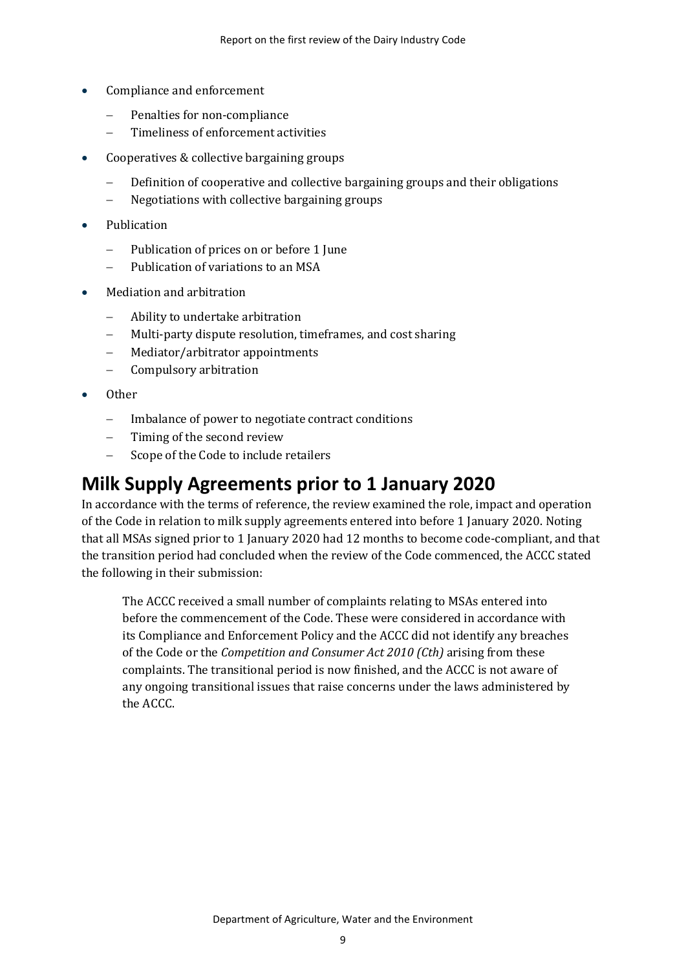- Compliance and enforcement
	- Penalties for non-compliance
	- − Timeliness of enforcement activities
- Cooperatives & collective bargaining groups
	- − Definition of cooperative and collective bargaining groups and their obligations
	- − Negotiations with collective bargaining groups
- Publication
	- Publication of prices on or before 1 June
	- − Publication of variations to an MSA
- Mediation and arbitration
	- − Ability to undertake arbitration
	- Multi-party dispute resolution, timeframes, and cost sharing
	- − Mediator/arbitrator appointments
	- − Compulsory arbitration
- Other
	- − Imbalance of power to negotiate contract conditions
	- Timing of the second review
	- − Scope of the Code to include retailers

### <span id="page-11-0"></span>**Milk Supply Agreements prior to 1 January 2020**

In accordance with the terms of reference, the review examined the role, impact and operation of the Code in relation to milk supply agreements entered into before 1 January 2020. Noting that all MSAs signed prior to 1 January 2020 had 12 months to become code-compliant, and that the transition period had concluded when the review of the Code commenced, the ACCC stated the following in their submission:

The ACCC received a small number of complaints relating to MSAs entered into before the commencement of the Code. These were considered in accordance with its Compliance and Enforcement Policy and the ACCC did not identify any breaches of the Code or the *Competition and Consumer Act 2010 (Cth)* arising from these complaints. The transitional period is now finished, and the ACCC is not aware of any ongoing transitional issues that raise concerns under the laws administered by the ACCC.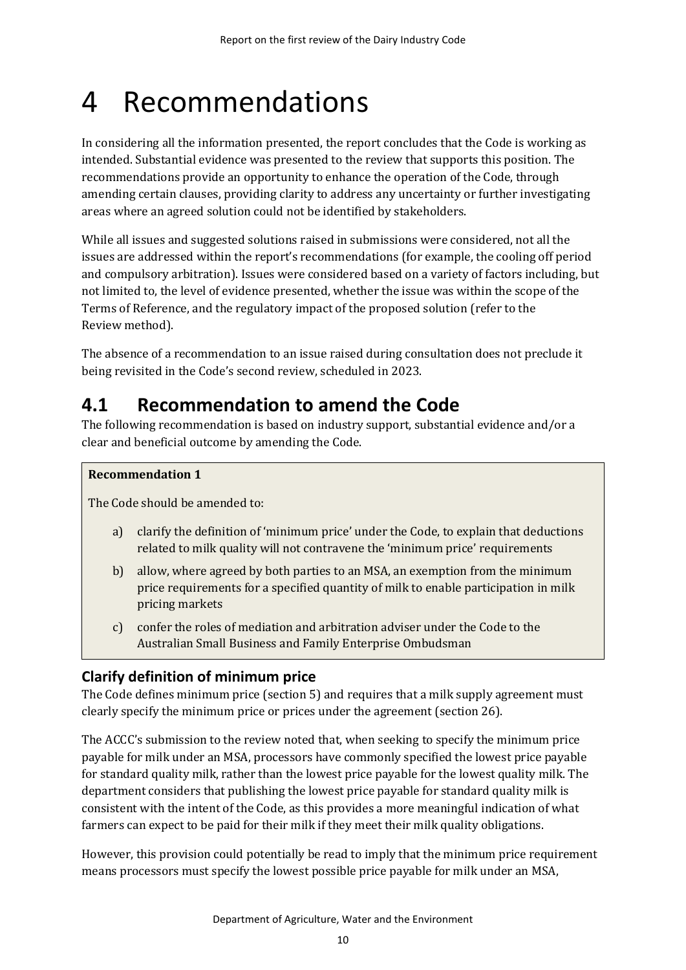## <span id="page-12-0"></span>4 Recommendations

In considering all the information presented, the report concludes that the Code is working as intended. Substantial evidence was presented to the review that supports this position. The recommendations provide an opportunity to enhance the operation of the Code, through amending certain clauses, providing clarity to address any uncertainty or further investigating areas where an agreed solution could not be identified by stakeholders.

While all issues and suggested solutions raised in submissions were considered, not all the issues are addressed within the report's recommendations (for example, the cooling off period and compulsory arbitration). Issues were considered based on a variety of factors including, but not limited to, the level of evidence presented, whether the issue was within the scope of the Terms of Reference, and the regulatory impact of the proposed solution (refer to the Review method).

The absence of a recommendation to an issue raised during consultation does not preclude it being revisited in the Code's second review, scheduled in 2023.

### <span id="page-12-1"></span>**4.1 Recommendation to amend the Code**

The following recommendation is based on industry support, substantial evidence and/or a clear and beneficial outcome by amending the Code.

### **Recommendation 1**

The Code should be amended to:

- a) clarify the definition of 'minimum price' under the Code, to explain that deductions related to milk quality will not contravene the 'minimum price' requirements
- b) allow, where agreed by both parties to an MSA, an exemption from the minimum price requirements for a specified quantity of milk to enable participation in milk pricing markets
- c) confer the roles of mediation and arbitration adviser under the Code to the Australian Small Business and Family Enterprise Ombudsman

### **Clarify definition of minimum price**

The Code defines minimum price (section 5) and requires that a milk supply agreement must clearly specify the minimum price or prices under the agreement (section 26).

The ACCC's submission to the review noted that, when seeking to specify the minimum price payable for milk under an MSA, processors have commonly specified the lowest price payable for standard quality milk, rather than the lowest price payable for the lowest quality milk. The department considers that publishing the lowest price payable for standard quality milk is consistent with the intent of the Code, as this provides a more meaningful indication of what farmers can expect to be paid for their milk if they meet their milk quality obligations.

However, this provision could potentially be read to imply that the minimum price requirement means processors must specify the lowest possible price payable for milk under an MSA,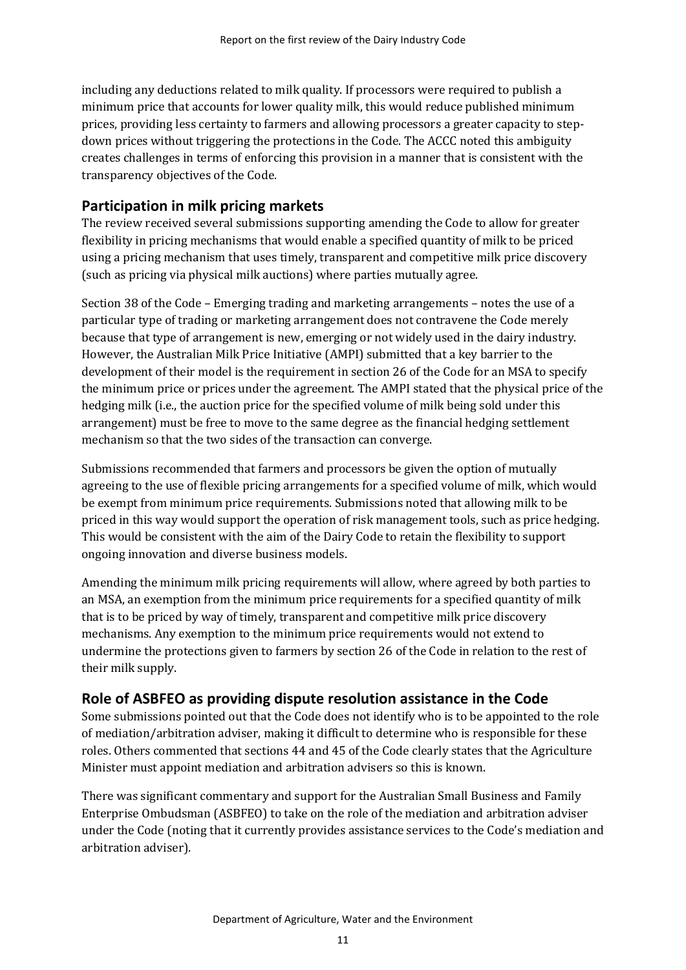including any deductions related to milk quality. If processors were required to publish a minimum price that accounts for lower quality milk, this would reduce published minimum prices, providing less certainty to farmers and allowing processors a greater capacity to stepdown prices without triggering the protections in the Code. The ACCC noted this ambiguity creates challenges in terms of enforcing this provision in a manner that is consistent with the transparency objectives of the Code.

### **Participation in milk pricing markets**

The review received several submissions supporting amending the Code to allow for greater flexibility in pricing mechanisms that would enable a specified quantity of milk to be priced using a pricing mechanism that uses timely, transparent and competitive milk price discovery (such as pricing via physical milk auctions) where parties mutually agree.

Section 38 of the Code – Emerging trading and marketing arrangements – notes the use of a particular type of trading or marketing arrangement does not contravene the Code merely because that type of arrangement is new, emerging or not widely used in the dairy industry. However, the Australian Milk Price Initiative (AMPI) submitted that a key barrier to the development of their model is the requirement in section 26 of the Code for an MSA to specify the minimum price or prices under the agreement. The AMPI stated that the physical price of the hedging milk (i.e., the auction price for the specified volume of milk being sold under this arrangement) must be free to move to the same degree as the financial hedging settlement mechanism so that the two sides of the transaction can converge.

Submissions recommended that farmers and processors be given the option of mutually agreeing to the use of flexible pricing arrangements for a specified volume of milk, which would be exempt from minimum price requirements. Submissions noted that allowing milk to be priced in this way would support the operation of risk management tools, such as price hedging. This would be consistent with the aim of the Dairy Code to retain the flexibility to support ongoing innovation and diverse business models.

Amending the minimum milk pricing requirements will allow, where agreed by both parties to an MSA, an exemption from the minimum price requirements for a specified quantity of milk that is to be priced by way of timely, transparent and competitive milk price discovery mechanisms. Any exemption to the minimum price requirements would not extend to undermine the protections given to farmers by section 26 of the Code in relation to the rest of their milk supply.

### **Role of ASBFEO as providing dispute resolution assistance in the Code**

Some submissions pointed out that the Code does not identify who is to be appointed to the role of mediation/arbitration adviser, making it difficult to determine who is responsible for these roles. Others commented that sections 44 and 45 of the Code clearly states that the Agriculture Minister must appoint mediation and arbitration advisers so this is known.

There was significant commentary and support for the Australian Small Business and Family Enterprise Ombudsman (ASBFEO) to take on the role of the mediation and arbitration adviser under the Code (noting that it currently provides assistance services to the Code's mediation and arbitration adviser).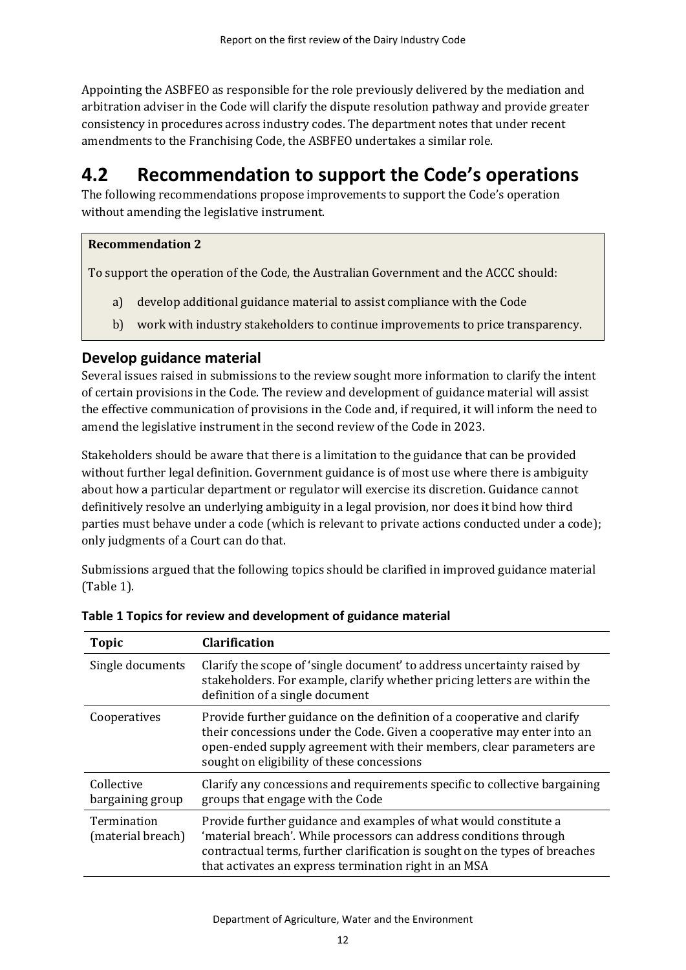Appointing the ASBFEO as responsible for the role previously delivered by the mediation and arbitration adviser in the Code will clarify the dispute resolution pathway and provide greater consistency in procedures across industry codes. The department notes that under recent amendments to the Franchising Code, the ASBFEO undertakes a similar role.

### <span id="page-14-0"></span>**4.2 Recommendation to support the Code's operations**

The following recommendations propose improvements to support the Code's operation without amending the legislative instrument.

#### **Recommendation 2**

To support the operation of the Code, the Australian Government and the ACCC should:

- a) develop additional guidance material to assist compliance with the Code
- b) work with industry stakeholders to continue improvements to price transparency.

#### **Develop guidance material**

Several issues raised in submissions to the review sought more information to clarify the intent of certain provisions in the Code. The review and development of guidance material will assist the effective communication of provisions in the Code and, if required, it will inform the need to amend the legislative instrument in the second review of the Code in 2023.

Stakeholders should be aware that there is a limitation to the guidance that can be provided without further legal definition. Government guidance is of most use where there is ambiguity about how a particular department or regulator will exercise its discretion. Guidance cannot definitively resolve an underlying ambiguity in a legal provision, nor does it bind how third parties must behave under a code (which is relevant to private actions conducted under a code); only judgments of a Court can do that.

Submissions argued that the following topics should be clarified in improved guidance material [\(Table 1\)](#page-14-1).

| <b>Topic</b>                     | <b>Clarification</b>                                                                                                                                                                                                                                                           |  |  |
|----------------------------------|--------------------------------------------------------------------------------------------------------------------------------------------------------------------------------------------------------------------------------------------------------------------------------|--|--|
| Single documents                 | Clarify the scope of 'single document' to address uncertainty raised by<br>stakeholders. For example, clarify whether pricing letters are within the<br>definition of a single document                                                                                        |  |  |
| Cooperatives                     | Provide further guidance on the definition of a cooperative and clarify<br>their concessions under the Code. Given a cooperative may enter into an<br>open-ended supply agreement with their members, clear parameters are<br>sought on eligibility of these concessions       |  |  |
| Collective<br>bargaining group   | Clarify any concessions and requirements specific to collective bargaining<br>groups that engage with the Code                                                                                                                                                                 |  |  |
| Termination<br>(material breach) | Provide further guidance and examples of what would constitute a<br>'material breach'. While processors can address conditions through<br>contractual terms, further clarification is sought on the types of breaches<br>that activates an express termination right in an MSA |  |  |

<span id="page-14-1"></span>

|  |  | Table 1 Topics for review and development of guidance material |  |  |
|--|--|----------------------------------------------------------------|--|--|
|--|--|----------------------------------------------------------------|--|--|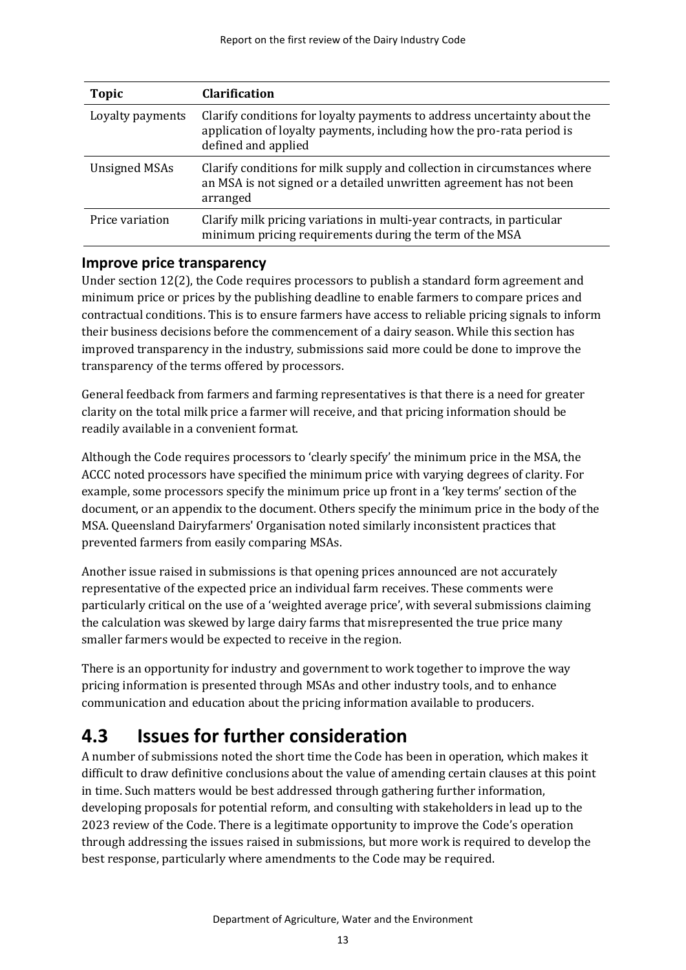| <b>Topic</b>         | <b>Clarification</b>                                                                                                                                                     |  |  |
|----------------------|--------------------------------------------------------------------------------------------------------------------------------------------------------------------------|--|--|
| Loyalty payments     | Clarify conditions for loyalty payments to address uncertainty about the<br>application of loyalty payments, including how the pro-rata period is<br>defined and applied |  |  |
| <b>Unsigned MSAs</b> | Clarify conditions for milk supply and collection in circumstances where<br>an MSA is not signed or a detailed unwritten agreement has not been<br>arranged              |  |  |
| Price variation      | Clarify milk pricing variations in multi-year contracts, in particular<br>minimum pricing requirements during the term of the MSA                                        |  |  |

#### **Improve price transparency**

Under section 12(2), the Code requires processors to publish a standard form agreement and minimum price or prices by the publishing deadline to enable farmers to compare prices and contractual conditions. This is to ensure farmers have access to reliable pricing signals to inform their business decisions before the commencement of a dairy season. While this section has improved transparency in the industry, submissions said more could be done to improve the transparency of the terms offered by processors.

General feedback from farmers and farming representatives is that there is a need for greater clarity on the total milk price a farmer will receive, and that pricing information should be readily available in a convenient format.

Although the Code requires processors to 'clearly specify' the minimum price in the MSA, the ACCC noted processors have specified the minimum price with varying degrees of clarity. For example, some processors specify the minimum price up front in a 'key terms' section of the document, or an appendix to the document. Others specify the minimum price in the body of the MSA. Queensland Dairyfarmers' Organisation noted similarly inconsistent practices that prevented farmers from easily comparing MSAs.

Another issue raised in submissions is that opening prices announced are not accurately representative of the expected price an individual farm receives. These comments were particularly critical on the use of a 'weighted average price', with several submissions claiming the calculation was skewed by large dairy farms that misrepresented the true price many smaller farmers would be expected to receive in the region.

There is an opportunity for industry and government to work together to improve the way pricing information is presented through MSAs and other industry tools, and to enhance communication and education about the pricing information available to producers.

### <span id="page-15-0"></span>**4.3 Issues for further consideration**

A number of submissions noted the short time the Code has been in operation, which makes it difficult to draw definitive conclusions about the value of amending certain clauses at this point in time. Such matters would be best addressed through gathering further information, developing proposals for potential reform, and consulting with stakeholders in lead up to the 2023 review of the Code. There is a legitimate opportunity to improve the Code's operation through addressing the issues raised in submissions, but more work is required to develop the best response, particularly where amendments to the Code may be required.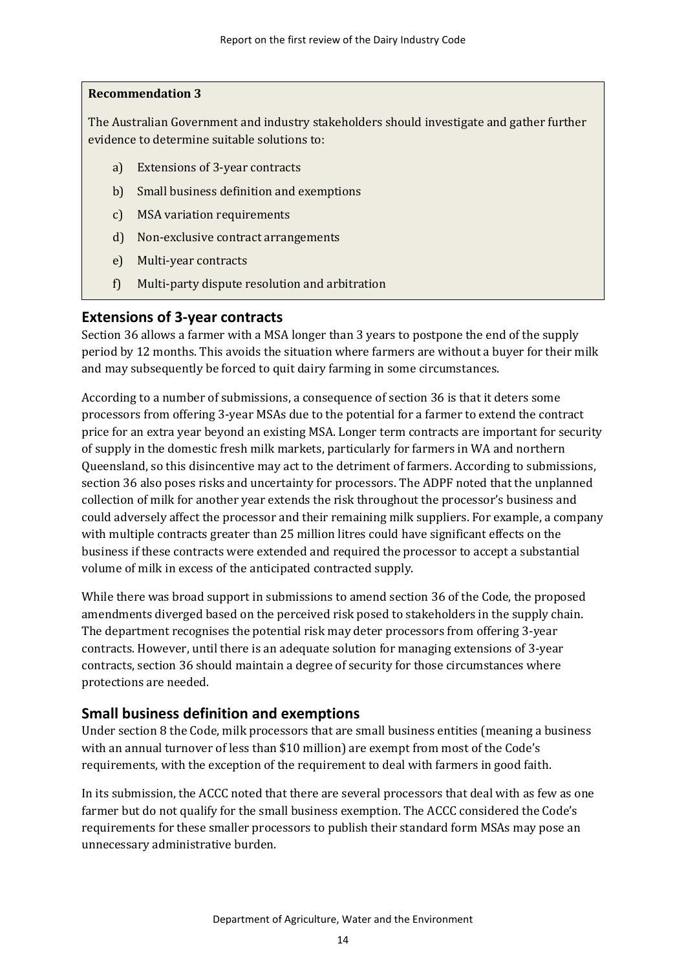#### **Recommendation 3**

The Australian Government and industry stakeholders should investigate and gather further evidence to determine suitable solutions to:

- a) Extensions of 3-year contracts
- b) Small business definition and exemptions
- c) MSA variation requirements
- d) Non-exclusive contract arrangements
- e) Multi-year contracts
- f) Multi-party dispute resolution and arbitration

### **Extensions of 3-year contracts**

Section 36 allows a farmer with a MSA longer than 3 years to postpone the end of the supply period by 12 months. This avoids the situation where farmers are without a buyer for their milk and may subsequently be forced to quit dairy farming in some circumstances.

According to a number of submissions, a consequence of section 36 is that it deters some processors from offering 3-year MSAs due to the potential for a farmer to extend the contract price for an extra year beyond an existing MSA. Longer term contracts are important for security of supply in the domestic fresh milk markets, particularly for farmers in WA and northern Queensland, so this disincentive may act to the detriment of farmers. According to submissions, section 36 also poses risks and uncertainty for processors. The ADPF noted that the unplanned collection of milk for another year extends the risk throughout the processor's business and could adversely affect the processor and their remaining milk suppliers. For example, a company with multiple contracts greater than 25 million litres could have significant effects on the business if these contracts were extended and required the processor to accept a substantial volume of milk in excess of the anticipated contracted supply.

While there was broad support in submissions to amend section 36 of the Code, the proposed amendments diverged based on the perceived risk posed to stakeholders in the supply chain. The department recognises the potential risk may deter processors from offering 3-year contracts. However, until there is an adequate solution for managing extensions of 3-year contracts, section 36 should maintain a degree of security for those circumstances where protections are needed.

#### **Small business definition and exemptions**

Under section 8 the Code, milk processors that are small business entities (meaning a business with an annual turnover of less than \$10 million) are exempt from most of the Code's requirements, with the exception of the requirement to deal with farmers in good faith.

In its submission, the ACCC noted that there are several processors that deal with as few as one farmer but do not qualify for the small business exemption. The ACCC considered the Code's requirements for these smaller processors to publish their standard form MSAs may pose an unnecessary administrative burden.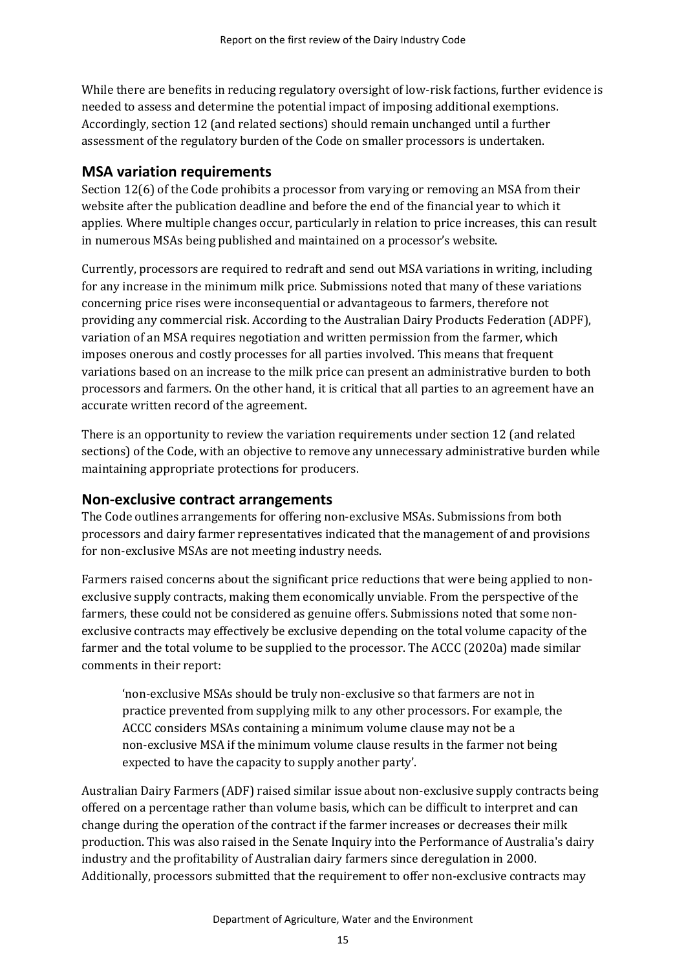While there are benefits in reducing regulatory oversight of low-risk factions, further evidence is needed to assess and determine the potential impact of imposing additional exemptions. Accordingly, section 12 (and related sections) should remain unchanged until a further assessment of the regulatory burden of the Code on smaller processors is undertaken.

### **MSA variation requirements**

Section 12(6) of the Code prohibits a processor from varying or removing an MSA from their website after the publication deadline and before the end of the financial year to which it applies. Where multiple changes occur, particularly in relation to price increases, this can result in numerous MSAs being published and maintained on a processor's website.

Currently, processors are required to redraft and send out MSA variations in writing, including for any increase in the minimum milk price. Submissions noted that many of these variations concerning price rises were inconsequential or advantageous to farmers, therefore not providing any commercial risk. According to the Australian Dairy Products Federation (ADPF), variation of an MSA requires negotiation and written permission from the farmer, which imposes onerous and costly processes for all parties involved. This means that frequent variations based on an increase to the milk price can present an administrative burden to both processors and farmers. On the other hand, it is critical that all parties to an agreement have an accurate written record of the agreement.

There is an opportunity to review the variation requirements under section 12 (and related sections) of the Code, with an objective to remove any unnecessary administrative burden while maintaining appropriate protections for producers.

#### **Non-exclusive contract arrangements**

The Code outlines arrangements for offering non-exclusive MSAs. Submissions from both processors and dairy farmer representatives indicated that the management of and provisions for non-exclusive MSAs are not meeting industry needs.

Farmers raised concerns about the significant price reductions that were being applied to nonexclusive supply contracts, making them economically unviable. From the perspective of the farmers, these could not be considered as genuine offers. Submissions noted that some nonexclusive contracts may effectively be exclusive depending on the total volume capacity of the farmer and the total volume to be supplied to the processor. The ACCC (2020a) made similar comments in their report:

'non-exclusive MSAs should be truly non-exclusive so that farmers are not in practice prevented from supplying milk to any other processors. For example, the ACCC considers MSAs containing a minimum volume clause may not be a non-exclusive MSA if the minimum volume clause results in the farmer not being expected to have the capacity to supply another party'.

Australian Dairy Farmers (ADF) raised similar issue about non-exclusive supply contracts being offered on a percentage rather than volume basis, which can be difficult to interpret and can change during the operation of the contract if the farmer increases or decreases their milk production. This was also raised in the Senate Inquiry into the Performance of Australia's dairy industry and the profitability of Australian dairy farmers since deregulation in 2000. Additionally, processors submitted that the requirement to offer non-exclusive contracts may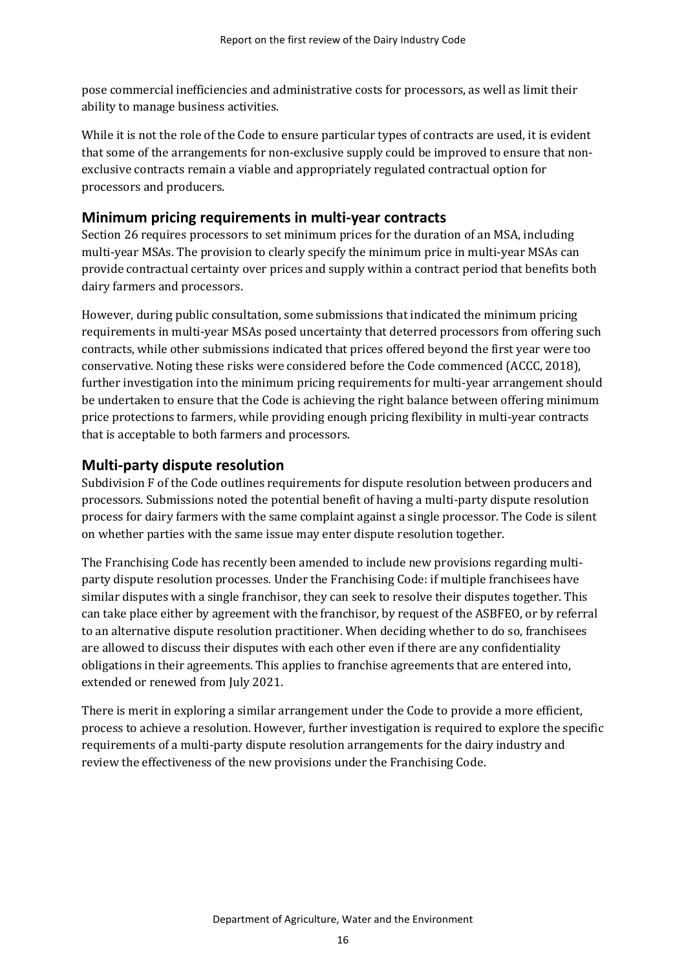pose commercial inefficiencies and administrative costs for processors, as well as limit their ability to manage business activities.

While it is not the role of the Code to ensure particular types of contracts are used, it is evident that some of the arrangements for non-exclusive supply could be improved to ensure that nonexclusive contracts remain a viable and appropriately regulated contractual option for processors and producers.

### **Minimum pricing requirements in multi-year contracts**

Section 26 requires processors to set minimum prices for the duration of an MSA, including multi-year MSAs. The provision to clearly specify the minimum price in multi-year MSAs can provide contractual certainty over prices and supply within a contract period that benefits both dairy farmers and processors.

However, during public consultation, some submissions that indicated the minimum pricing requirements in multi-year MSAs posed uncertainty that deterred processors from offering such contracts, while other submissions indicated that prices offered beyond the first year were too conservative. Noting these risks were considered before the Code commenced (ACCC, 2018), further investigation into the minimum pricing requirements for multi-year arrangement should be undertaken to ensure that the Code is achieving the right balance between offering minimum price protections to farmers, while providing enough pricing flexibility in multi-year contracts that is acceptable to both farmers and processors.

### **Multi-party dispute resolution**

Subdivision F of the Code outlines requirements for dispute resolution between producers and processors. Submissions noted the potential benefit of having a multi-party dispute resolution process for dairy farmers with the same complaint against a single processor. The Code is silent on whether parties with the same issue may enter dispute resolution together.

The Franchising Code has recently been amended to include new provisions regarding multiparty dispute resolution processes. Under the Franchising Code: if multiple franchisees have similar disputes with a single franchisor, they can seek to resolve their disputes together. This can take place either by agreement with the franchisor, by request of the ASBFEO, or by referral to an alternative dispute resolution practitioner. When deciding whether to do so, franchisees are allowed to discuss their disputes with each other even if there are any confidentiality obligations in their agreements. This applies to franchise agreements that are entered into, extended or renewed from July 2021.

There is merit in exploring a similar arrangement under the Code to provide a more efficient, process to achieve a resolution. However, further investigation is required to explore the specific requirements of a multi-party dispute resolution arrangements for the dairy industry and review the effectiveness of the new provisions under the Franchising Code.